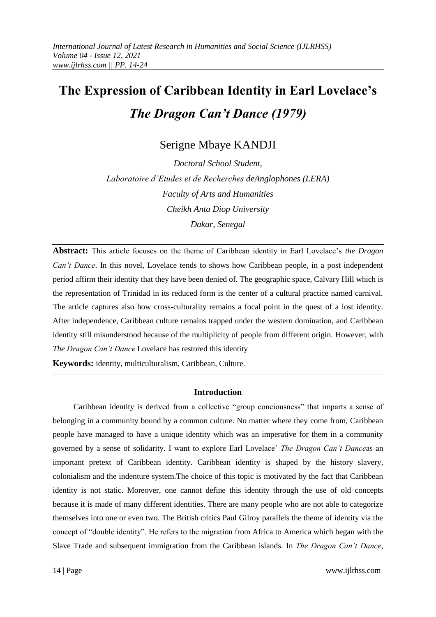# **The Expression of Caribbean Identity in Earl Lovelace's**  *The Dragon Can't Dance (1979)*

Serigne Mbaye KANDJI

*Doctoral School Student, Laboratoire d'Etudes et de Recherches deAnglophones (LERA) Faculty of Arts and Humanities Cheikh Anta Diop University Dakar, Senegal*

**Abstract:** This article focuses on the theme of Caribbean identity in Earl Lovelace"s *the Dragon Can't Dance*. In this novel, Lovelace tends to shows how Caribbean people, in a post independent period affirm their identity that they have been denied of. The geographic space, Calvary Hill which is the representation of Trinidad in its reduced form is the center of a cultural practice named carnival. The article captures also how cross-culturality remains a focal point in the quest of a lost identity. After independence, Caribbean culture remains trapped under the western domination, and Caribbean identity still misunderstood because of the multiplicity of people from different origin. However, with *The Dragon Can't Dance* Lovelace has restored this identity

**Keywords:** identity, multiculturalism, Caribbean, Culture.

# **Introduction**

Caribbean identity is derived from a collective "group conciousness" that imparts a sense of belonging in a community bound by a common culture. No matter where they come from, Caribbean people have managed to have a unique identity which was an imperative for them in a community governed by a sense of solidarity. I want to explore Earl Lovelace" *The Dragon Can't Dance*as an important pretext of Caribbean identity. Caribbean identity is shaped by the history slavery, colonialism and the indenture system.The choice of this topic is motivated by the fact that Caribbean identity is not static. Moreover, one cannot define this identity through the use of old concepts because it is made of many different identities. There are many people who are not able to categorize themselves into one or even two. The British critics Paul Gilroy parallels the theme of identity via the concept of "double identity". He refers to the migration from Africa to America which began with the Slave Trade and subsequent immigration from the Caribbean islands. In *The Dragon Can't Dance*,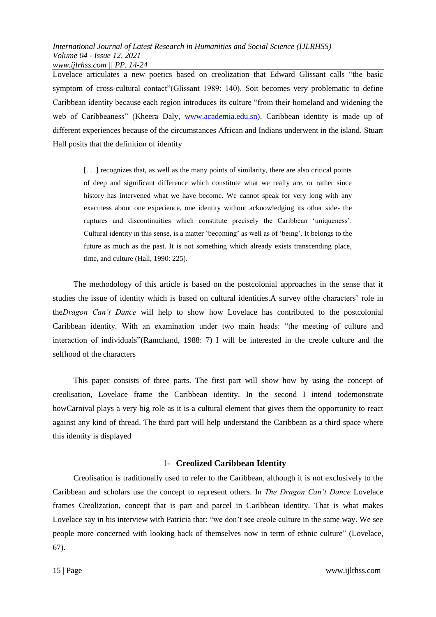Lovelace articulates a new poetics based on creolization that Edward Glissant calls "the basic symptom of cross-cultural contact"(Glissant 1989: 140). Soit becomes very problematic to define Caribbean identity because each region introduces its culture "from their homeland and widening the web of Caribbeaness" (Kheera Daly, [www.academia.edu.sn\)](http://www.academia.edu.sn/). Caribbean identity is made up of different experiences because of the circumstances African and Indians underwent in the island. Stuart Hall posits that the definition of identity

[. . .] recognizes that, as well as the many points of similarity, there are also critical points of deep and significant difference which constitute what we really are, or rather since history has intervened what we have become. We cannot speak for very long with any exactness about one experience, one identity without acknowledging its other side- the ruptures and discontinuities which constitute precisely the Caribbean "uniqueness". Cultural identity in this sense, is a matter "becoming" as well as of "being". It belongs to the future as much as the past. It is not something which already exists transcending place, time, and culture (Hall, 1990: 225).

The methodology of this article is based on the postcolonial approaches in the sense that it studies the issue of identity which is based on cultural identities.A survey ofthe characters" role in the*Dragon Can't Dance* will help to show how Lovelace has contributed to the postcolonial Caribbean identity. With an examination under two main heads: "the meeting of culture and interaction of individuals"(Ramchand, 1988: 7) I will be interested in the creole culture and the selfhood of the characters

This paper consists of three parts. The first part will show how by using the concept of creolisation, Lovelace frame the Caribbean identity. In the second I intend todemonstrate howCarnival plays a very big role as it is a cultural element that gives them the opportunity to react against any kind of thread. The third part will help understand the Caribbean as a third space where this identity is displayed

# 1- **Creolized Caribbean Identity**

Creolisation is traditionally used to refer to the Caribbean, although it is not exclusively to the Caribbean and scholars use the concept to represent others. In *The Dragon Can't Dance* Lovelace frames Creolization, concept that is part and parcel in Caribbean identity. That is what makes Lovelace say in his interview with Patricia that: "we don"t see creole culture in the same way. We see people more concerned with looking back of themselves now in term of ethnic culture" (Lovelace, 67).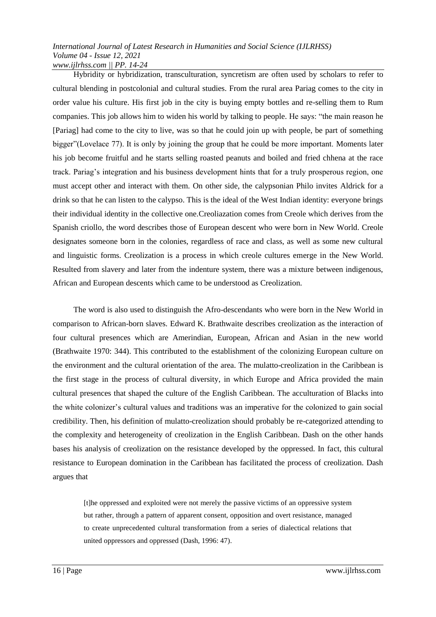Hybridity or hybridization, transculturation, syncretism are often used by scholars to refer to cultural blending in postcolonial and cultural studies. From the rural area Pariag comes to the city in order value his culture. His first job in the city is buying empty bottles and re-selling them to Rum companies. This job allows him to widen his world by talking to people. He says: "the main reason he [Pariag] had come to the city to live, was so that he could join up with people, be part of something bigger"(Lovelace 77). It is only by joining the group that he could be more important. Moments later his job become fruitful and he starts selling roasted peanuts and boiled and fried chhena at the race track. Pariag"s integration and his business development hints that for a truly prosperous region, one must accept other and interact with them. On other side, the calypsonian Philo invites Aldrick for a drink so that he can listen to the calypso. This is the ideal of the West Indian identity: everyone brings their individual identity in the collective one.Creoliazation comes from Creole which derives from the Spanish criollo, the word describes those of European descent who were born in New World. Creole designates someone born in the colonies, regardless of race and class, as well as some new cultural and linguistic forms. Creolization is a process in which creole cultures emerge in the New World. Resulted from slavery and later from the indenture system, there was a mixture between indigenous, African and European descents which came to be understood as Creolization.

The word is also used to distinguish the Afro-descendants who were born in the New World in comparison to African-born slaves. Edward K. Brathwaite describes creolization as the interaction of four cultural presences which are Amerindian, European, African and Asian in the new world (Brathwaite 1970: 344). This contributed to the establishment of the colonizing European culture on the environment and the cultural orientation of the area. The mulatto-creolization in the Caribbean is the first stage in the process of cultural diversity, in which Europe and Africa provided the main cultural presences that shaped the culture of the English Caribbean. The acculturation of Blacks into the white colonizer"s cultural values and traditions was an imperative for the colonized to gain social credibility. Then, his definition of mulatto-creolization should probably be re-categorized attending to the complexity and heterogeneity of creolization in the English Caribbean. Dash on the other hands bases his analysis of creolization on the resistance developed by the oppressed. In fact, this cultural resistance to European domination in the Caribbean has facilitated the process of creolization. Dash argues that

[t]he oppressed and exploited were not merely the passive victims of an oppressive system but rather, through a pattern of apparent consent, opposition and overt resistance, managed to create unprecedented cultural transformation from a series of dialectical relations that united oppressors and oppressed (Dash, 1996: 47).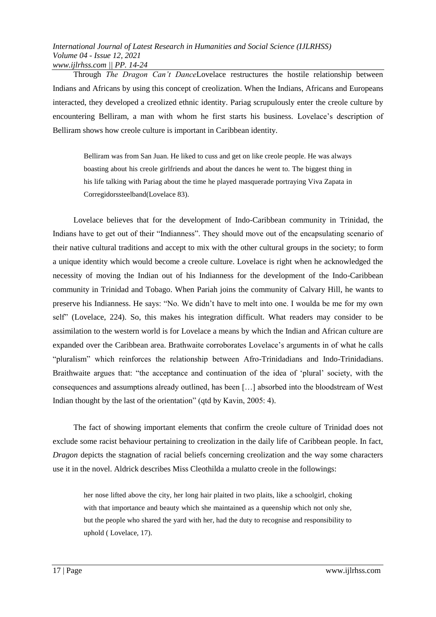Through *The Dragon Can't Dance*Lovelace restructures the hostile relationship between Indians and Africans by using this concept of creolization. When the Indians, Africans and Europeans interacted, they developed a creolized ethnic identity. Pariag scrupulously enter the creole culture by encountering Belliram, a man with whom he first starts his business. Lovelace's description of Belliram shows how creole culture is important in Caribbean identity.

Belliram was from San Juan. He liked to cuss and get on like creole people. He was always boasting about his creole girlfriends and about the dances he went to. The biggest thing in his life talking with Pariag about the time he played masquerade portraying Viva Zapata in Corregidorssteelband(Lovelace 83).

Lovelace believes that for the development of Indo-Caribbean community in Trinidad, the Indians have to get out of their "Indianness". They should move out of the encapsulating scenario of their native cultural traditions and accept to mix with the other cultural groups in the society; to form a unique identity which would become a creole culture. Lovelace is right when he acknowledged the necessity of moving the Indian out of his Indianness for the development of the Indo-Caribbean community in Trinidad and Tobago. When Pariah joins the community of Calvary Hill, he wants to preserve his Indianness. He says: "No. We didn"t have to melt into one. I woulda be me for my own self" (Lovelace, 224). So, this makes his integration difficult. What readers may consider to be assimilation to the western world is for Lovelace a means by which the Indian and African culture are expanded over the Caribbean area. Brathwaite corroborates Lovelace"s arguments in of what he calls "pluralism" which reinforces the relationship between Afro-Trinidadians and Indo-Trinidadians. Braithwaite argues that: "the acceptance and continuation of the idea of "plural" society, with the consequences and assumptions already outlined, has been […] absorbed into the bloodstream of West Indian thought by the last of the orientation" (qtd by Kavin, 2005: 4).

The fact of showing important elements that confirm the creole culture of Trinidad does not exclude some racist behaviour pertaining to creolization in the daily life of Caribbean people. In fact, *Dragon* depicts the stagnation of racial beliefs concerning creolization and the way some characters use it in the novel. Aldrick describes Miss Cleothilda a mulatto creole in the followings:

her nose lifted above the city, her long hair plaited in two plaits, like a schoolgirl, choking with that importance and beauty which she maintained as a queenship which not only she, but the people who shared the yard with her, had the duty to recognise and responsibility to uphold ( Lovelace, 17).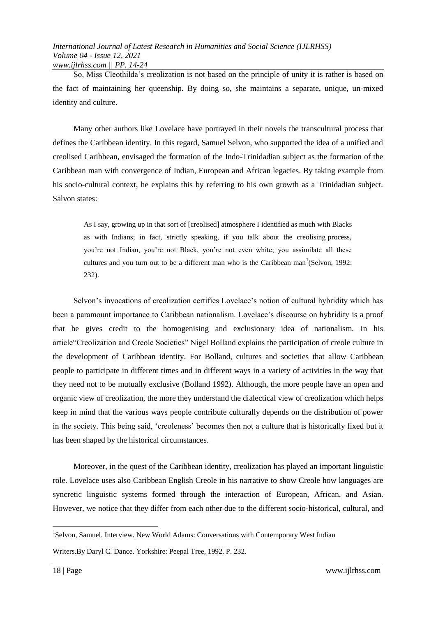So, Miss Cleothilda"s creolization is not based on the principle of unity it is rather is based on the fact of maintaining her queenship. By doing so, she maintains a separate, unique, un-mixed identity and culture.

Many other authors like Lovelace have portrayed in their novels the transcultural process that defines the Caribbean identity. In this regard, Samuel Selvon, who supported the idea of a unified and creolised Caribbean, envisaged the formation of the Indo-Trinidadian subject as the formation of the Caribbean man with convergence of Indian, European and African legacies. By taking example from his socio-cultural context, he explains this by referring to his own growth as a Trinidadian subject. Salvon states:

As I say, growing up in that sort of [creolised] atmosphere I identified as much with Blacks as with Indians; in fact, strictly speaking, if you talk about the creolising process, you"re not Indian, you"re not Black, you"re not even white; you assimilate all these cultures and you turn out to be a different man who is the Caribbean man<sup>1</sup>(Selvon, 1992: 232).

Selvon's invocations of creolization certifies Lovelace's notion of cultural hybridity which has been a paramount importance to Caribbean nationalism. Lovelace's discourse on hybridity is a proof that he gives credit to the homogenising and exclusionary idea of nationalism. In his article"Creolization and Creole Societies" Nigel Bolland explains the participation of creole culture in the development of Caribbean identity. For Bolland, cultures and societies that allow Caribbean people to participate in different times and in different ways in a variety of activities in the way that they need not to be mutually exclusive (Bolland 1992). Although, the more people have an open and organic view of creolization, the more they understand the dialectical view of creolization which helps keep in mind that the various ways people contribute culturally depends on the distribution of power in the society. This being said, "creoleness" becomes then not a culture that is historically fixed but it has been shaped by the historical circumstances.

Moreover, in the quest of the Caribbean identity, creolization has played an important linguistic role. Lovelace uses also Caribbean English Creole in his narrative to show Creole how languages are syncretic linguistic systems formed through the interaction of European, African, and Asian. However, we notice that they differ from each other due to the different socio-historical, cultural, and

**.** 

<sup>&</sup>lt;sup>1</sup>Selvon, Samuel. Interview. New World Adams: Conversations with Contemporary West Indian

Writers.By Daryl C. Dance. Yorkshire: Peepal Tree, 1992. P. 232.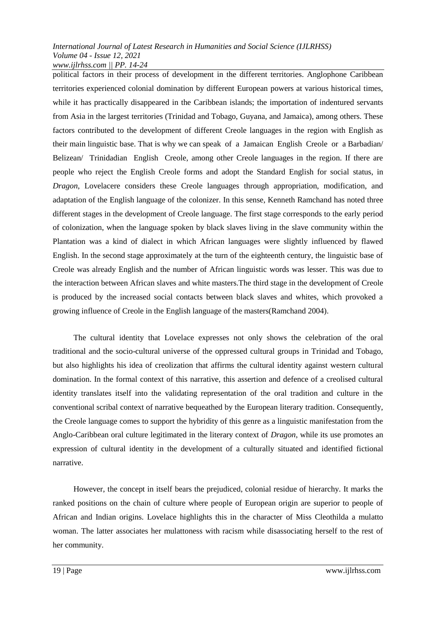political factors in their process of development in the different territories. Anglophone Caribbean territories experienced colonial domination by different European powers at various historical times, while it has practically disappeared in the Caribbean islands; the importation of indentured servants from Asia in the largest territories (Trinidad and Tobago, Guyana, and Jamaica), among others. These factors contributed to the development of different Creole languages in the region with English as their main linguistic base. That is why we can speak of a Jamaican English Creole or a Barbadian/ Belizean/ Trinidadian English Creole, among other Creole languages in the region. If there are people who reject the English Creole forms and adopt the Standard English for social status, in *Dragon*, Lovelacere considers these Creole languages through appropriation, modification, and adaptation of the English language of the colonizer. In this sense, Kenneth Ramchand has noted three different stages in the development of Creole language. The first stage corresponds to the early period of colonization, when the language spoken by black slaves living in the slave community within the Plantation was a kind of dialect in which African languages were slightly influenced by flawed English. In the second stage approximately at the turn of the eighteenth century, the linguistic base of Creole was already English and the number of African linguistic words was lesser. This was due to the interaction between African slaves and white masters.The third stage in the development of Creole is produced by the increased social contacts between black slaves and whites, which provoked a growing influence of Creole in the English language of the masters(Ramchand 2004).

The cultural identity that Lovelace expresses not only shows the celebration of the oral traditional and the socio-cultural universe of the oppressed cultural groups in Trinidad and Tobago, but also highlights his idea of creolization that affirms the cultural identity against western cultural domination. In the formal context of this narrative, this assertion and defence of a creolised cultural identity translates itself into the validating representation of the oral tradition and culture in the conventional scribal context of narrative bequeathed by the European literary tradition. Consequently, the Creole language comes to support the hybridity of this genre as a linguistic manifestation from the Anglo-Caribbean oral culture legitimated in the literary context of *Dragon*, while its use promotes an expression of cultural identity in the development of a culturally situated and identified fictional narrative.

However, the concept in itself bears the prejudiced, colonial residue of hierarchy. It marks the ranked positions on the chain of culture where people of European origin are superior to people of African and Indian origins. Lovelace highlights this in the character of Miss Cleothilda a mulatto woman. The latter associates her mulattoness with racism while disassociating herself to the rest of her community.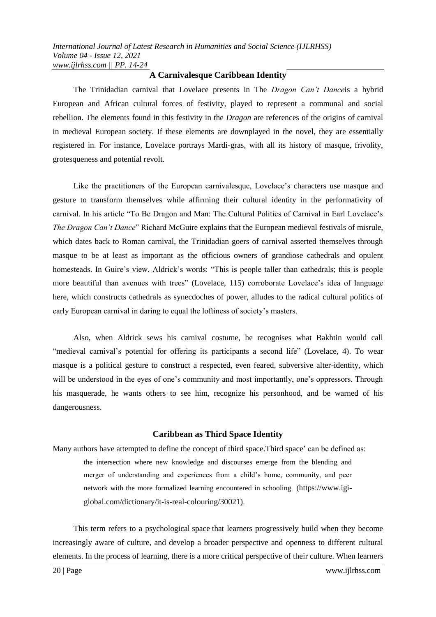# **A Carnivalesque Caribbean Identity**

The Trinidadian carnival that Lovelace presents in The *Dragon Can't Dance*is a hybrid European and African cultural forces of festivity, played to represent a communal and social rebellion. The elements found in this festivity in the *Dragon* are references of the origins of carnival in medieval European society. If these elements are downplayed in the novel, they are essentially registered in. For instance, Lovelace portrays Mardi-gras, with all its history of masque, frivolity, grotesqueness and potential revolt.

Like the practitioners of the European carnivalesque, Lovelace"s characters use masque and gesture to transform themselves while affirming their cultural identity in the performativity of carnival. In his article "To Be Dragon and Man: The Cultural Politics of Carnival in Earl Lovelace"s *The Dragon Can't Dance*" Richard McGuire explains that the European medieval festivals of misrule, which dates back to Roman carnival, the Trinidadian goers of carnival asserted themselves through masque to be at least as important as the officious owners of grandiose cathedrals and opulent homesteads. In Guire"s view, Aldrick"s words: "This is people taller than cathedrals; this is people more beautiful than avenues with trees" (Lovelace, 115) corroborate Lovelace"s idea of language here, which constructs cathedrals as synecdoches of power, alludes to the radical cultural politics of early European carnival in daring to equal the loftiness of society's masters.

Also, when Aldrick sews his carnival costume, he recognises what Bakhtin would call "medieval carnival"s potential for offering its participants a second life" (Lovelace, 4). To wear masque is a political gesture to construct a respected, even feared, subversive alter-identity, which will be understood in the eyes of one's community and most importantly, one's oppressors. Through his masquerade, he wants others to see him, recognize his personhood, and be warned of his dangerousness.

# **Caribbean as Third Space Identity**

Many authors have attempted to define the concept of third space. Third space' can be defined as: the intersection where new knowledge and discourses emerge from the blending and merger of understanding and experiences from a child"s home, community, and peer network with the more formalized learning encountered in schooling (https://www.igiglobal.com/dictionary/it-is-real-colouring/30021).

This term refers to a psychological space that learners progressively build when they become increasingly aware of culture, and develop a broader perspective and openness to different cultural elements. In the process of learning, there is a more critical perspective of their culture. When learners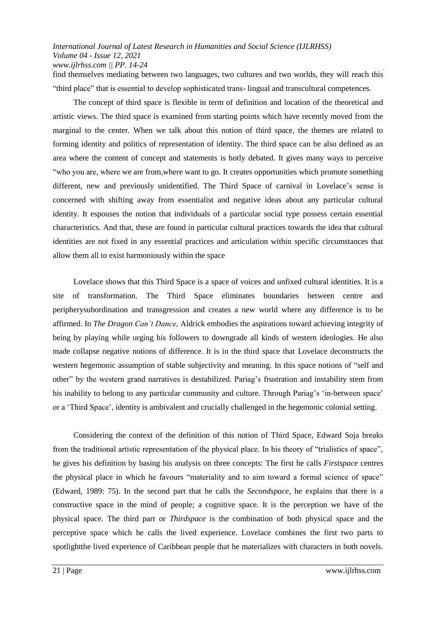find themselves mediating between two languages, two cultures and two worlds, they will reach this "third place" that is essential to develop sophisticated trans- lingual and transcultural competences.

The concept of third space is flexible in term of definition and location of the theoretical and artistic views. The third space is examined from starting points which have recently moved from the marginal to the center. When we talk about this notion of third space, the themes are related to forming identity and politics of representation of identity. The third space can be also defined as an area where the content of concept and statements is hotly debated. It gives many ways to perceive "who you are, where we are from,where want to go. It creates opportunities which promote something different, new and previously unidentified. The Third Space of carnival in Lovelace's sense is concerned with shifting away from essentialist and negative ideas about any particular cultural identity. It espouses the notion that individuals of a particular social type possess certain essential characteristics. And that, these are found in particular cultural practices towards the idea that cultural identities are not fixed in any essential practices and articulation within specific circumstances that allow them all to exist harmoniously within the space

Lovelace shows that this Third Space is a space of voices and unfixed cultural identities. It is a site of transformation. The Third Space eliminates boundaries between centre and peripherysubordination and transgression and creates a new world where any difference is to be affirmed. In *The Dragon Can't Dance*, Aldrick embodies the aspirations toward achieving integrity of being by playing while urging his followers to downgrade all kinds of western ideologies. He also made collapse negative notions of difference. It is in the third space that Lovelace deconstructs the western hegemonic assumption of stable subjectivity and meaning. In this space notions of "self and other" by the western grand narratives is destabilized. Pariag"s frustration and instability stem from his inability to belong to any particular community and culture. Through Pariag's 'in-between space' or a "Third Space", identity is ambivalent and crucially challenged in the hegemonic colonial setting.

Considering the context of the definition of this notion of Third Space, Edward Soja breaks from the traditional artistic representation of the physical place. In his theory of "trialistics of space", he gives his definition by basing his analysis on three concepts: The first he calls *Firstspace* centres the physical place in which he favours "materiality and to aim toward a formal science of space" (Edward, 1989: 75). In the second part that he calls the *Secondspace*, he explains that there is a constructive space in the mind of people; a cognitive space. It is the perception we have of the physical space. The third part or *Thirdspace* is the combination of both physical space and the perceptive space which he calls the lived experience. Lovelace combines the first two parts to spotlightthe lived experience of Caribbean people that he materializes with characters in both novels.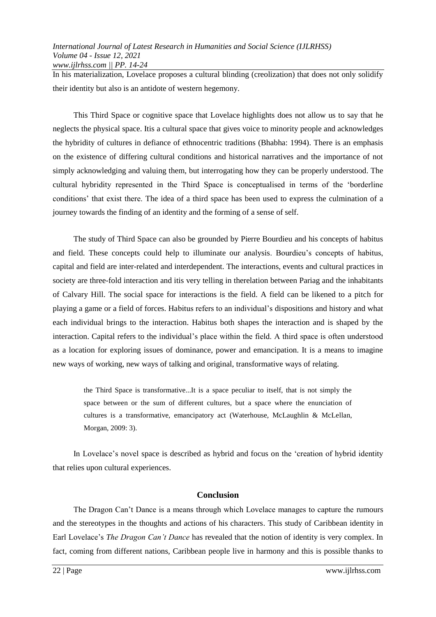In his materialization, Lovelace proposes a cultural blinding (creolization) that does not only solidify their identity but also is an antidote of western hegemony.

This Third Space or cognitive space that Lovelace highlights does not allow us to say that he neglects the physical space. Itis a cultural space that gives voice to minority people and acknowledges the hybridity of cultures in defiance of ethnocentric traditions (Bhabha: 1994). There is an emphasis on the existence of differing cultural conditions and historical narratives and the importance of not simply acknowledging and valuing them, but interrogating how they can be properly understood. The cultural hybridity represented in the Third Space is conceptualised in terms of the "borderline conditions" that exist there. The idea of a third space has been used to express the culmination of a journey towards the finding of an identity and the forming of a sense of self.

The study of Third Space can also be grounded by Pierre Bourdieu and his concepts of habitus and field. These concepts could help to illuminate our analysis. Bourdieu"s concepts of habitus, capital and field are inter-related and interdependent. The interactions, events and cultural practices in society are three-fold interaction and itis very telling in therelation between Pariag and the inhabitants of Calvary Hill. The social space for interactions is the field. A field can be likened to a pitch for playing a game or a field of forces. Habitus refers to an individual"s dispositions and history and what each individual brings to the interaction. Habitus both shapes the interaction and is shaped by the interaction. Capital refers to the individual"s place within the field. A third space is often understood as a location for exploring issues of dominance, power and emancipation. It is a means to imagine new ways of working, new ways of talking and original, transformative ways of relating.

the Third Space is transformative...It is a space peculiar to itself, that is not simply the space between or the sum of different cultures, but a space where the enunciation of cultures is a transformative, emancipatory act (Waterhouse, McLaughlin & McLellan, Morgan, 2009: 3).

In Lovelace's novel space is described as hybrid and focus on the 'creation of hybrid identity that relies upon cultural experiences.

# **Conclusion**

The Dragon Can"t Dance is a means through which Lovelace manages to capture the rumours and the stereotypes in the thoughts and actions of his characters. This study of Caribbean identity in Earl Lovelace"s *The Dragon Can't Dance* has revealed that the notion of identity is very complex. In fact, coming from different nations, Caribbean people live in harmony and this is possible thanks to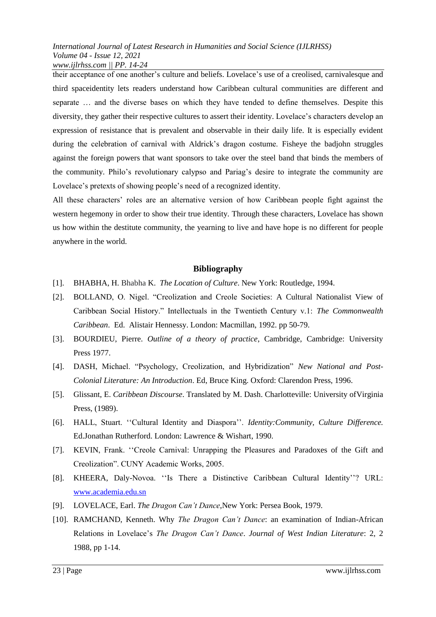their acceptance of one another"s culture and beliefs. Lovelace"s use of a creolised, carnivalesque and third spaceidentity lets readers understand how Caribbean cultural communities are different and separate … and the diverse bases on which they have tended to define themselves. Despite this diversity, they gather their respective cultures to assert their identity. Lovelace"s characters develop an expression of resistance that is prevalent and observable in their daily life. It is especially evident during the celebration of carnival with Aldrick"s dragon costume. Fisheye the badjohn struggles against the foreign powers that want sponsors to take over the steel band that binds the members of the community. Philo's revolutionary calypso and Pariag's desire to integrate the community are Lovelace's pretexts of showing people's need of a recognized identity.

All these characters" roles are an alternative version of how Caribbean people fight against the western hegemony in order to show their true identity. Through these characters, Lovelace has shown us how within the destitute community, the yearning to live and have hope is no different for people anywhere in the world.

# **Bibliography**

- [1]. BHABHA, H. Bhabha K. *The Location of Culture*. New York: Routledge, 1994.
- [2]. BOLLAND, O. Nigel. "Creolization and Creole Societies: A Cultural Nationalist View of Caribbean Social History." Intellectuals in the Twentieth Century v.1: *The Commonwealth Caribbean*. Ed. Alistair Hennessy. London: Macmillan, 1992. pp 50-79.
- [3]. BOURDIEU, Pierre. *Outline of a theory of practice*, Cambridge, Cambridge: University Press 1977.
- [4]. DASH, Michael. "Psychology, Creolization, and Hybridization" *New National and Post*-*Colonial Literature: An Introduction*. Ed, Bruce King. Oxford: Clarendon Press, 1996.
- [5]. Glissant, E. *Caribbean Discourse*. Translated by M. Dash. Charlotteville: University ofVirginia Press, (1989).
- [6]. HALL, Stuart. "Cultural Identity and Diaspora". *Identity: Community, Culture Difference.* Ed.Jonathan Rutherford. London: Lawrence & Wishart, 1990.
- [7]. KEVIN, Frank. "Creole Carnival: Unrapping the Pleasures and Paradoxes of the Gift and Creolization". CUNY Academic Works, 2005.
- [8]. KHEERA, Daly-Novoa. "Is There a Distinctive Caribbean Cultural Identity"? URL: [www.academia.edu.sn](http://www.academia.edu.sn/)
- [9]. LOVELACE, Earl. *The Dragon Can't Dance*,New York: Persea Book, 1979.
- [10]. RAMCHAND, Kenneth. Why *The Dragon Can't Dance*: an examination of Indian-African Relations in Lovelace"s *The Dragon Can't Dance*. *Journal of West Indian Literature*: 2, 2 1988, pp 1-14.